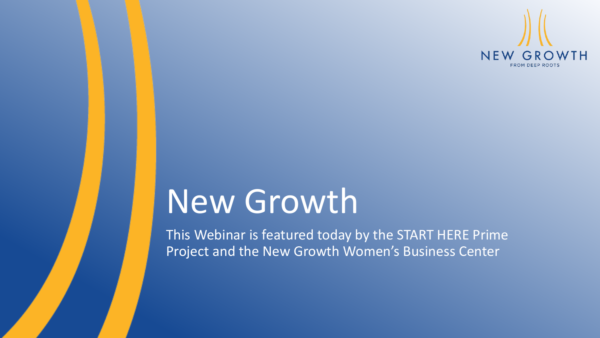

# New Growth

This Webinar is featured today by the START HERE Prime Project and the New Growth Women's Business Center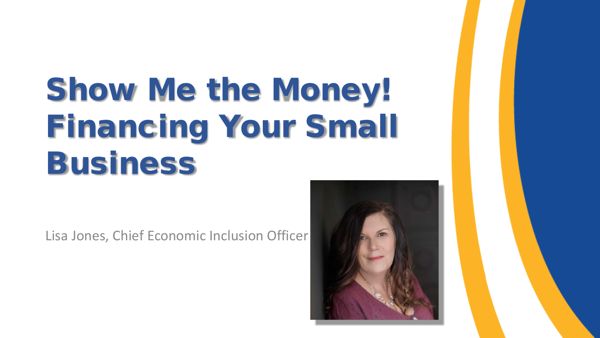# Show Me the Money! Financing Your Small Business

Lisa Jones, Chief Economic Inclusion Officer

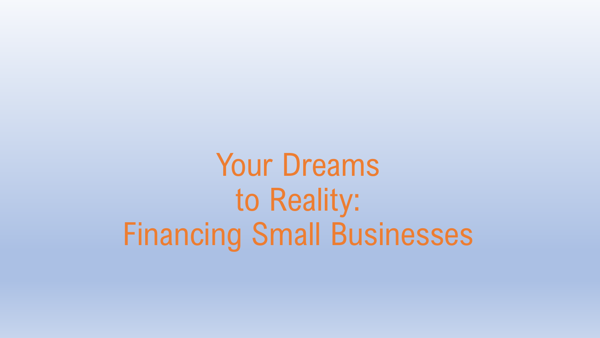Your Dreams to Reality: Financing Small Businesses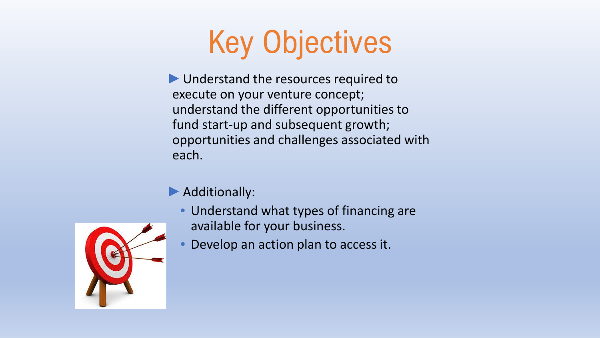# Key Objectives

- ►Understand the resources required to execute on your venture concept; understand the different opportunities to fund start-up and subsequent growth; opportunities and challenges associated with each.
- ▶ Additionally:
	- Understand what types of financing are available for your business.
	- Develop an action plan to access it.

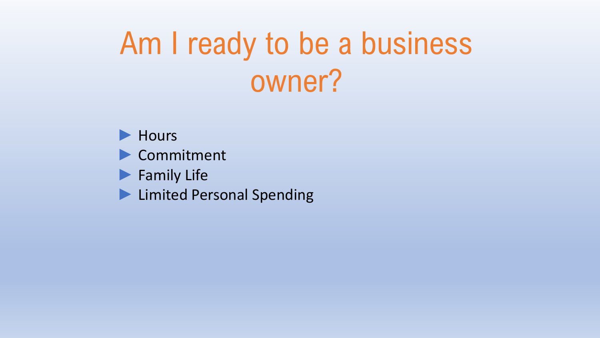# Am I ready to be a business owner?

► Hours

- ► Commitment
- ► Family Life
- ► Limited Personal Spending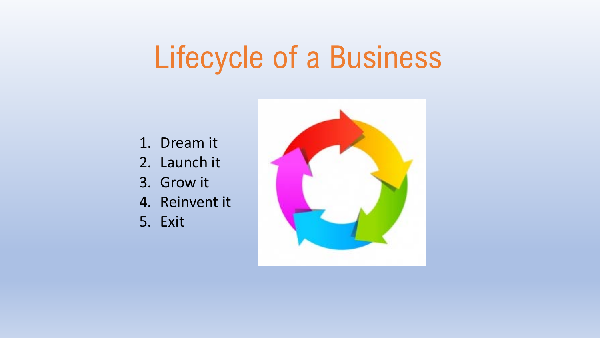# Lifecycle of a Business

- 1. Dream it
- 2. Launch it
- 3. Grow it
- 4. Reinvent it
- 5. Exit

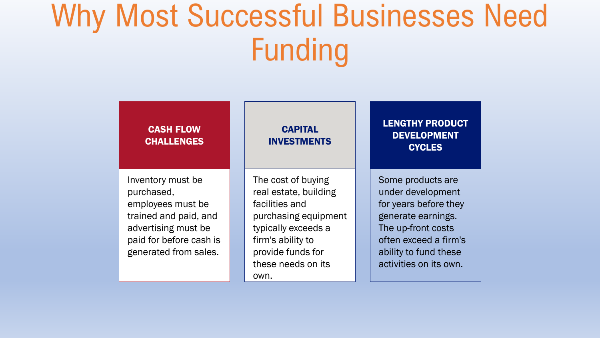## Why Most Successful Businesses Need Funding

| <b>CASH FLOW</b><br><b>CHALLENGES</b>                                                                                                                    | <b>CAPITAL</b><br><b>INVESTMENTS</b>                                                                                                                                                 | <b>LENGTHY PRODUCT</b><br><b>DEVELOPMENT</b><br><b>CYCLES</b>                                                                                                                           |
|----------------------------------------------------------------------------------------------------------------------------------------------------------|--------------------------------------------------------------------------------------------------------------------------------------------------------------------------------------|-----------------------------------------------------------------------------------------------------------------------------------------------------------------------------------------|
| Inventory must be<br>purchased,<br>employees must be<br>trained and paid, and<br>advertising must be<br>paid for before cash is<br>generated from sales. | The cost of buying<br>real estate, building<br>facilities and<br>purchasing equipment<br>typically exceeds a<br>firm's ability to<br>provide funds for<br>these needs on its<br>own. | Some products are<br>under development<br>for years before they<br>generate earnings.<br>The up-front costs<br>often exceed a firm's<br>ability to fund these<br>activities on its own. |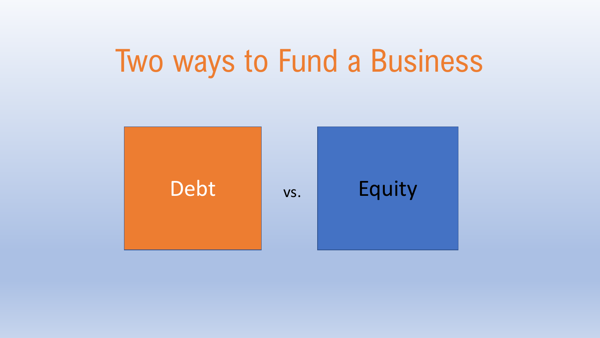## Two ways to Fund a Business

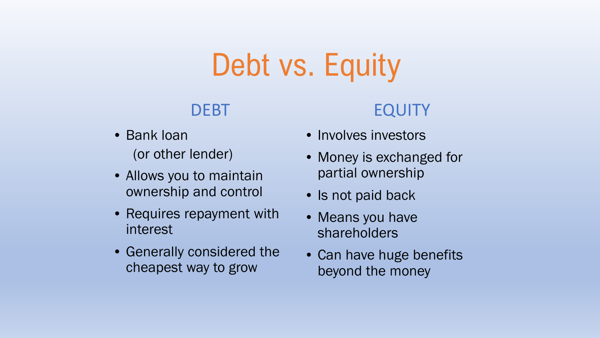# Debt vs. Equity

### DEBT

- Bank loan (or other lender)
- Allows you to maintain ownership and control
- Requires repayment with interest
- Generally considered the cheapest way to grow

### EQUITY

- Involves investors
- Money is exchanged for partial ownership
- Is not paid back
- Means you have shareholders
- Can have huge benefits beyond the money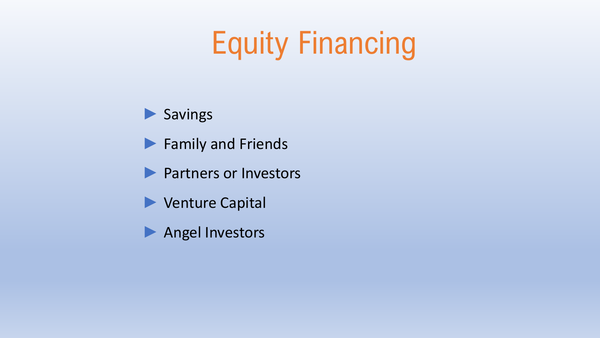# Equity Financing

### ▶ Savings

- ► Family and Friends
- ▶ Partners or Investors
- ► Venture Capital
- ► Angel Investors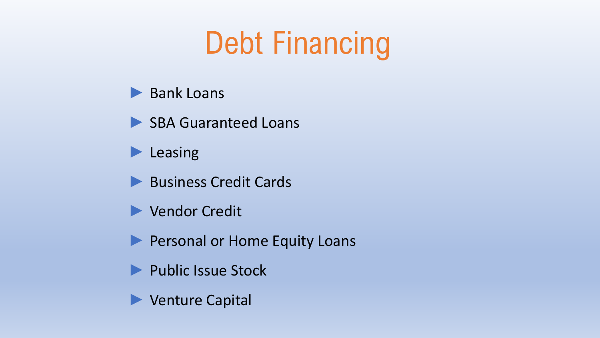# Debt Financing

- ► Bank Loans
- ▶ SBA Guaranteed Loans
- ► Leasing
- ► Business Credit Cards
- ► Vendor Credit
- ▶ Personal or Home Equity Loans
- ► Public Issue Stock
- ► Venture Capital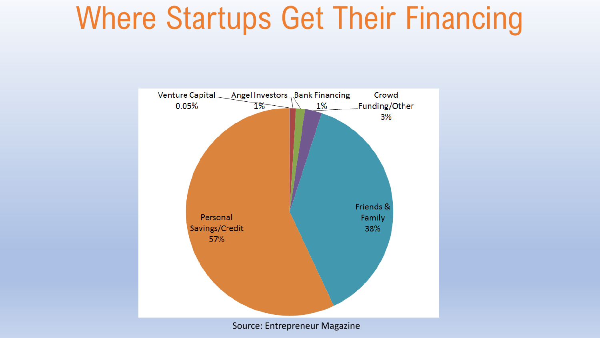# Where Startups Get Their Financing



Source: Entrepreneur Magazine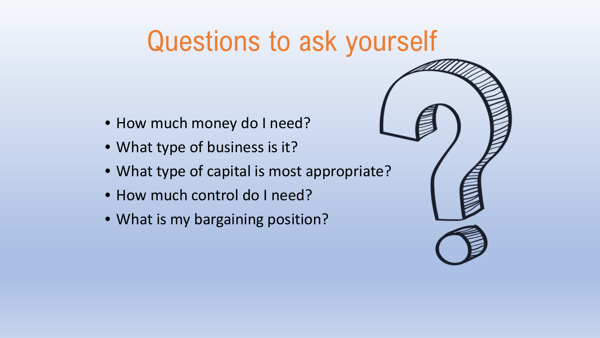### Questions to ask yourself

- How much money do I need?
- What type of business is it?
- What type of capital is most appropriate?
- How much control do I need?
- What is my bargaining position?

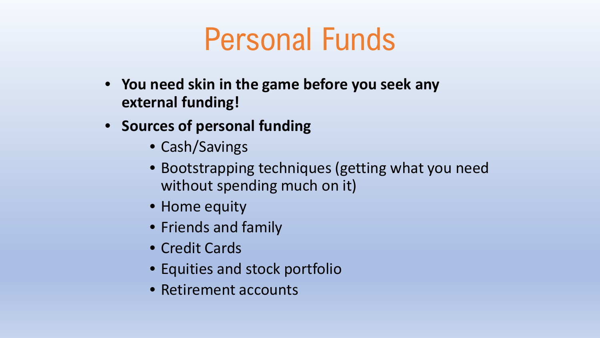## Personal Funds

- **You need skin in the game before you seek any external funding!**
- **Sources of personal funding**
	- Cash/Savings
	- Bootstrapping techniques (getting what you need without spending much on it)
	- Home equity
	- Friends and family
	- Credit Cards
	- Equities and stock portfolio
	- Retirement accounts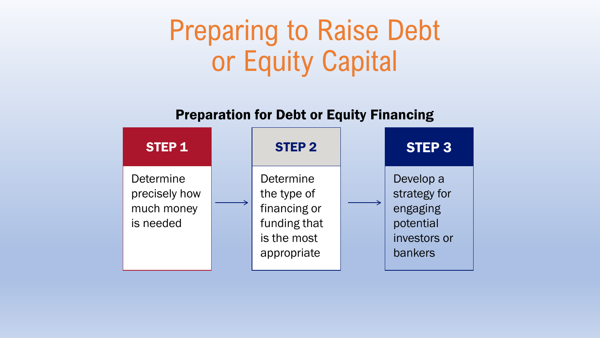### Preparing to Raise Debt or Equity Capital

Preparation for Debt or Equity Financing

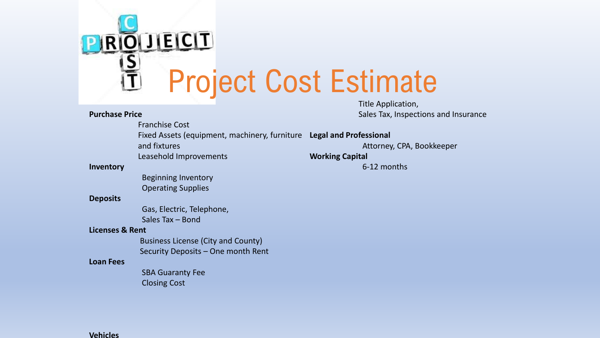

Title Application, Sales Tax, Inspections and Insurance

#### **Purchase Price**

Franchise Cost Fixed Assets (equipment, machinery, furniture **Legal and Professional**

Attorney, CPA, Bookkeeper

**Working Capital** 

6-12 months

#### **Inventory**

Beginning Inventory Operating Supplies

Leasehold Improvements

and fixtures

#### **Deposits**

Gas, Electric, Telephone, Sales Tax – Bond

#### **Licenses & Rent**

Business License (City and County) Security Deposits – One month Rent

#### **Loan Fees**

SBA Guaranty Fee Closing Cost

#### **Vehicles**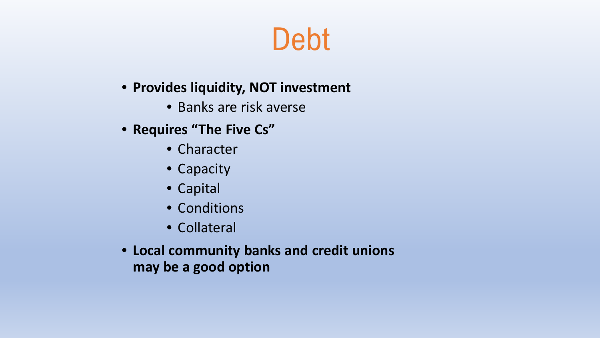### Debt

### • **Provides liquidity, NOT investment**

- Banks are risk averse
- **Requires "The Five Cs"**
	- Character
	- Capacity
	- Capital
	- Conditions
	- Collateral
- **Local community banks and credit unions may be a good option**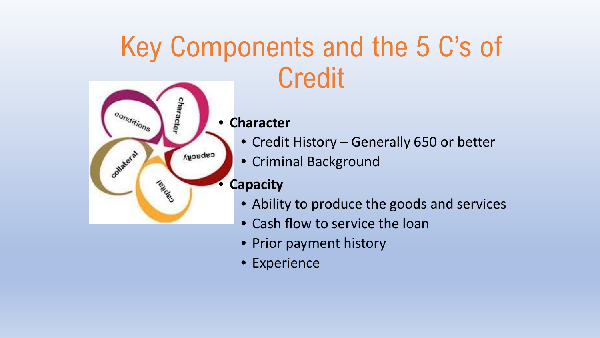## Key Components and the 5 C's of **Credit**



#### • **Character**

- Credit History Generally 650 or better
- Criminal Background

### • **Capacity**

- Ability to produce the goods and services
- Cash flow to service the loan
- Prior payment history
- Experience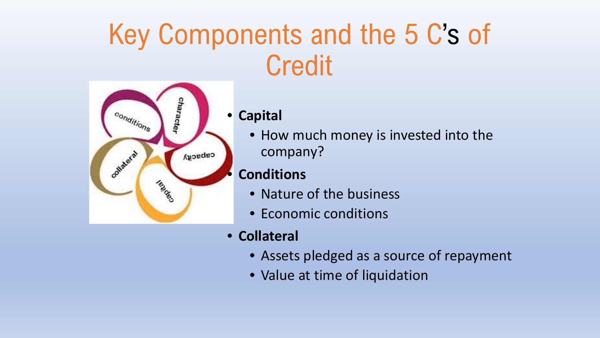### Key Components and the 5 C's of **Credit**



#### • **Capital**

• How much money is invested into the company?

### • **Conditions**

- Nature of the business
- Economic conditions
- **Collateral**
	- Assets pledged as a source of repayment
	- Value at time of liquidation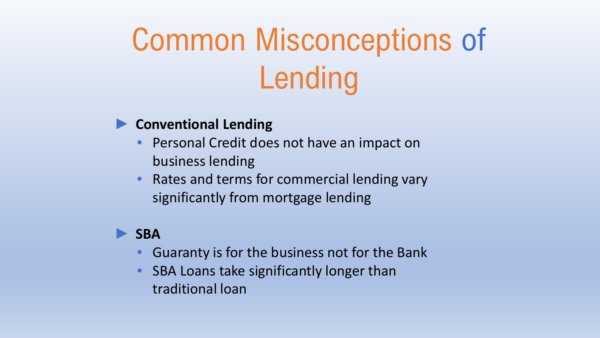# Common Misconceptions of Lending

#### ► **Conventional Lending**

- Personal Credit does not have an impact on business lending
- Rates and terms for commercial lending vary significantly from mortgage lending

#### ► **SBA**

- Guaranty is for the business not for the Bank
- SBA Loans take significantly longer than traditional loan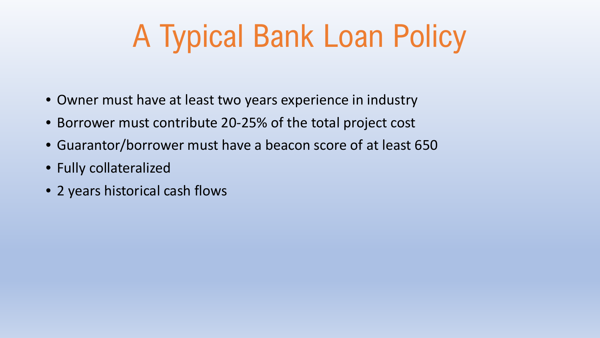# A Typical Bank Loan Policy

- Owner must have at least two years experience in industry
- Borrower must contribute 20-25% of the total project cost
- Guarantor/borrower must have a beacon score of at least 650
- Fully collateralized
- 2 years historical cash flows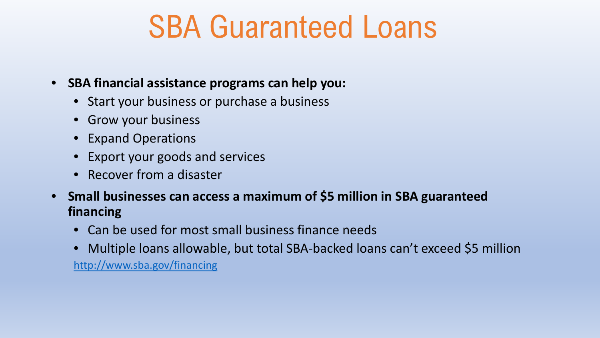## SBA Guaranteed Loans

- **SBA financial assistance programs can help you:**
	- Start your business or purchase a business
	- Grow your business
	- Expand Operations
	- Export your goods and services
	- Recover from a disaster
- **Small businesses can access a maximum of \$5 million in SBA guaranteed financing**
	- Can be used for most small business finance needs
	- Multiple loans allowable, but total SBA-backed loans can't exceed \$5 million <http://www.sba.gov/financing>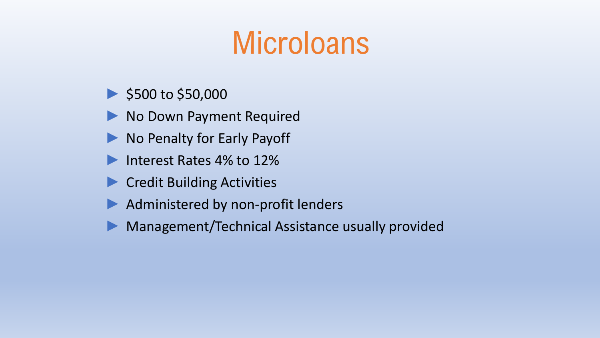# **Microloans**

- \$500 to \$50,000
- ▶ No Down Payment Required
- ► No Penalty for Early Payoff
- ► Interest Rates 4% to 12%
- ► Credit Building Activities
- ▶ Administered by non-profit lenders
- Management/Technical Assistance usually provided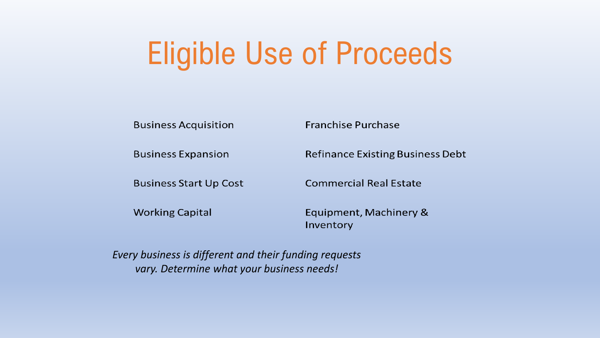# Eligible Use of Proceeds

**Business Acquisition** 

**Business Expansion** 

**Business Start Up Cost** 

**Working Capital** 

**Franchise Purchase** 

**Refinance Existing Business Debt** 

**Commercial Real Estate** 

Equipment, Machinery & Inventory

*Every business is different and their funding requests vary. Determine what your business needs!*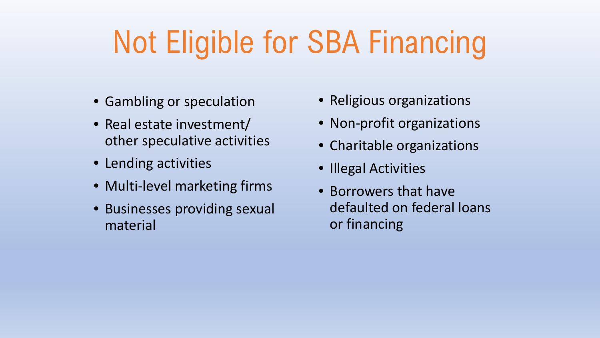# Not Eligible for SBA Financing

- Gambling or speculation
- Real estate investment/ other speculative activities
- Lending activities
- Multi-level marketing firms
- Businesses providing sexual material
- Religious organizations
- Non-profit organizations
- Charitable organizations
- Illegal Activities
- Borrowers that have defaulted on federal loans or financing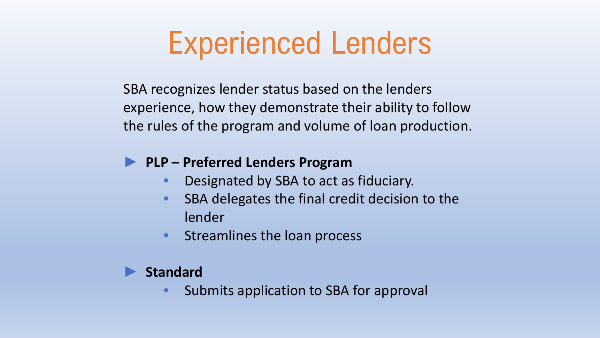## Experienced Lenders

SBA recognizes lender status based on the lenders experience, how they demonstrate their ability to follow the rules of the program and volume of loan production.

### ► **PLP – Preferred Lenders Program**

- Designated by SBA to act as fiduciary.
- SBA delegates the final credit decision to the lender
- Streamlines the loan process

#### ► **Standard**

• Submits application to SBA for approval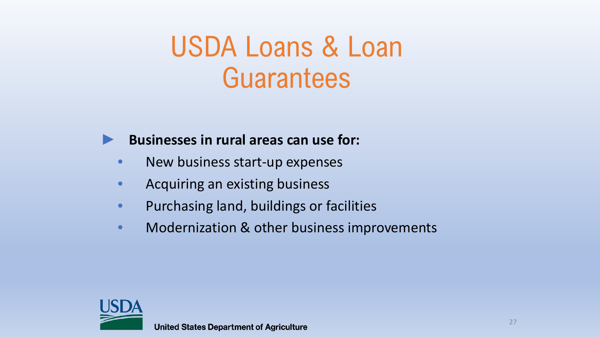### USDA Loans & Loan **Guarantees**



#### ► **Businesses in rural areas can use for:**

- New business start-up expenses
- Acquiring an existing business
- Purchasing land, buildings or facilities
- Modernization & other business improvements

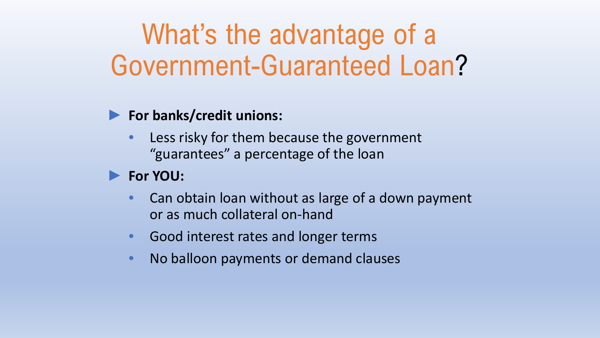### What's the advantage of a Government-Guaranteed Loan?

### ► **For banks/credit unions:**

Less risky for them because the government "guarantees" a percentage of the loan

### ► **For YOU:**

- Can obtain loan without as large of a down payment or as much collateral on-hand
- Good interest rates and longer terms
- No balloon payments or demand clauses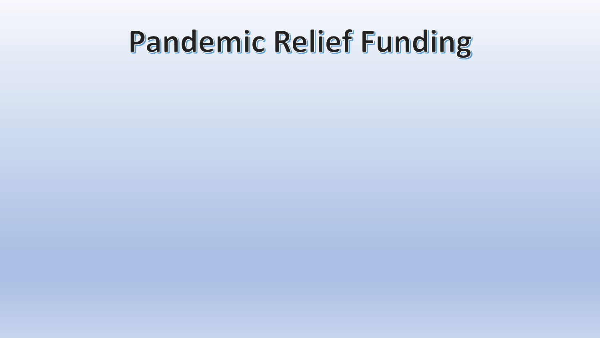# Pandemic Relief Funding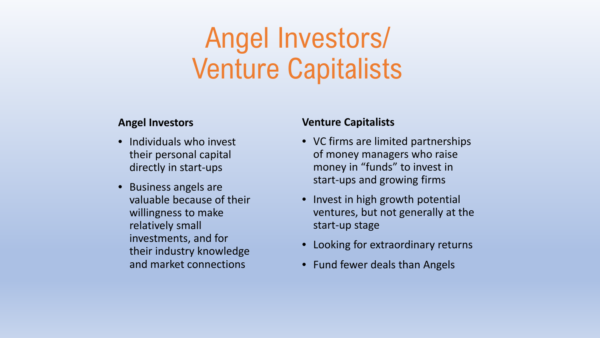## Angel Investors/ Venture Capitalists

#### **Angel Investors**

- Individuals who invest their personal capital directly in start-ups
- Business angels are valuable because of their willingness to make relatively small investments, and for their industry knowledge and market connections

#### **Venture Capitalists**

- VC firms are limited partnerships of money managers who raise money in "funds" to invest in start-ups and growing firms
- Invest in high growth potential ventures, but not generally at the start-up stage
- Looking for extraordinary returns
- Fund fewer deals than Angels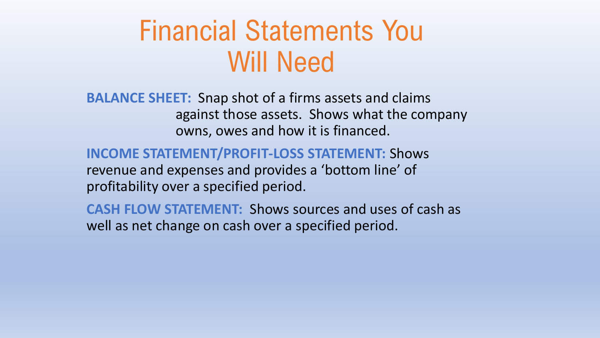### Financial Statements You Will Need

**BALANCE SHEET:** Snap shot of a firms assets and claims against those assets. Shows what the company owns, owes and how it is financed.

**INCOME STATEMENT/PROFIT-LOSS STATEMENT:** Shows revenue and expenses and provides a 'bottom line' of

profitability over a specified period.

**CASH FLOW STATEMENT:** Shows sources and uses of cash as well as net change on cash over a specified period.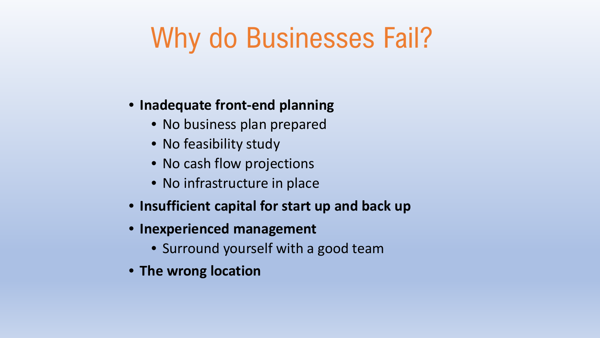## Why do Businesses Fail?

#### • **Inadequate front-end planning**

- No business plan prepared
- No feasibility study
- No cash flow projections
- No infrastructure in place
- **Insufficient capital for start up and back up**
- **Inexperienced management**
	- Surround yourself with a good team
- **The wrong location**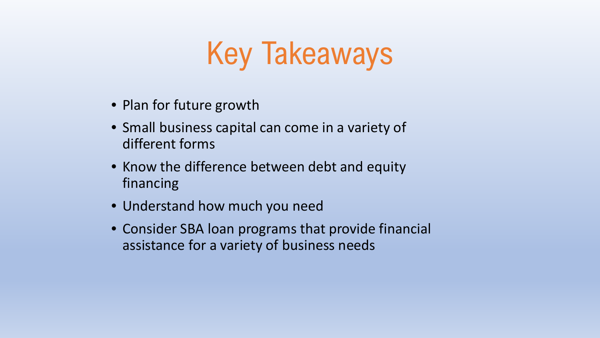# Key Takeaways

- Plan for future growth
- Small business capital can come in a variety of different forms
- Know the difference between debt and equity financing
- Understand how much you need
- Consider SBA loan programs that provide financial assistance for a variety of business needs